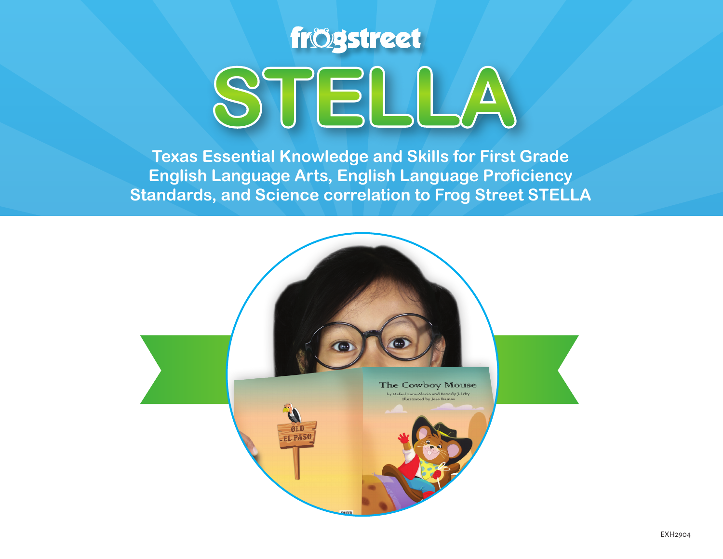

**Texas Essential Knowledge and Skills for First Grade English Language Arts, English Language Proficiency Standards, and Science correlation to Frog Street STELLA**

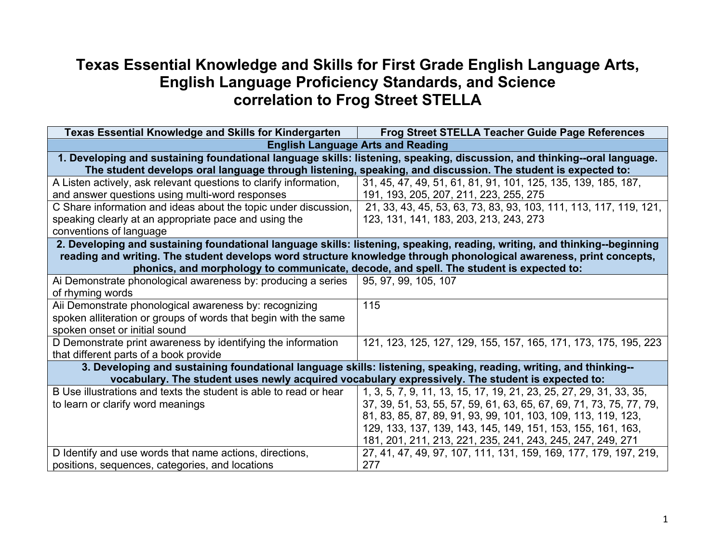## **Texas Essential Knowledge and Skills for First Grade English Language Arts, English Language Proficiency Standards, and Science correlation to Frog Street STELLA**

| <b>Texas Essential Knowledge and Skills for Kindergarten</b>                                                             | <b>Frog Street STELLA Teacher Guide Page References</b>                                                                   |  |
|--------------------------------------------------------------------------------------------------------------------------|---------------------------------------------------------------------------------------------------------------------------|--|
| <b>English Language Arts and Reading</b>                                                                                 |                                                                                                                           |  |
| 1. Developing and sustaining foundational language skills: listening, speaking, discussion, and thinking--oral language. |                                                                                                                           |  |
| The student develops oral language through listening, speaking, and discussion. The student is expected to:              |                                                                                                                           |  |
| A Listen actively, ask relevant questions to clarify information,                                                        | 31, 45, 47, 49, 51, 61, 81, 91, 101, 125, 135, 139, 185, 187,                                                             |  |
| and answer questions using multi-word responses                                                                          | 191, 193, 205, 207, 211, 223, 255, 275                                                                                    |  |
| C Share information and ideas about the topic under discussion,                                                          | 21, 33, 43, 45, 53, 63, 73, 83, 93, 103, 111, 113, 117, 119, 121,                                                         |  |
| speaking clearly at an appropriate pace and using the                                                                    | 123, 131, 141, 183, 203, 213, 243, 273                                                                                    |  |
| conventions of language                                                                                                  |                                                                                                                           |  |
|                                                                                                                          | 2. Developing and sustaining foundational language skills: listening, speaking, reading, writing, and thinking--beginning |  |
| reading and writing. The student develops word structure knowledge through phonological awareness, print concepts,       |                                                                                                                           |  |
|                                                                                                                          | phonics, and morphology to communicate, decode, and spell. The student is expected to:                                    |  |
| Ai Demonstrate phonological awareness by: producing a series                                                             | 95, 97, 99, 105, 107                                                                                                      |  |
| of rhyming words                                                                                                         |                                                                                                                           |  |
| Aii Demonstrate phonological awareness by: recognizing                                                                   | 115                                                                                                                       |  |
| spoken alliteration or groups of words that begin with the same                                                          |                                                                                                                           |  |
| spoken onset or initial sound                                                                                            |                                                                                                                           |  |
| D Demonstrate print awareness by identifying the information                                                             | 121, 123, 125, 127, 129, 155, 157, 165, 171, 173, 175, 195, 223                                                           |  |
| that different parts of a book provide                                                                                   |                                                                                                                           |  |
| 3. Developing and sustaining foundational language skills: listening, speaking, reading, writing, and thinking--         |                                                                                                                           |  |
| vocabulary. The student uses newly acquired vocabulary expressively. The student is expected to:                         |                                                                                                                           |  |
| B Use illustrations and texts the student is able to read or hear                                                        | 1, 3, 5, 7, 9, 11, 13, 15, 17, 19, 21, 23, 25, 27, 29, 31, 33, 35,                                                        |  |
| to learn or clarify word meanings                                                                                        | 37, 39, 51, 53, 55, 57, 59, 61, 63, 65, 67, 69, 71, 73, 75, 77, 79,                                                       |  |
|                                                                                                                          | 81, 83, 85, 87, 89, 91, 93, 99, 101, 103, 109, 113, 119, 123,                                                             |  |
|                                                                                                                          | 129, 133, 137, 139, 143, 145, 149, 151, 153, 155, 161, 163,                                                               |  |
|                                                                                                                          | 181, 201, 211, 213, 221, 235, 241, 243, 245, 247, 249, 271                                                                |  |
| D Identify and use words that name actions, directions,                                                                  | 27, 41, 47, 49, 97, 107, 111, 131, 159, 169, 177, 179, 197, 219,                                                          |  |
| positions, sequences, categories, and locations                                                                          | 277                                                                                                                       |  |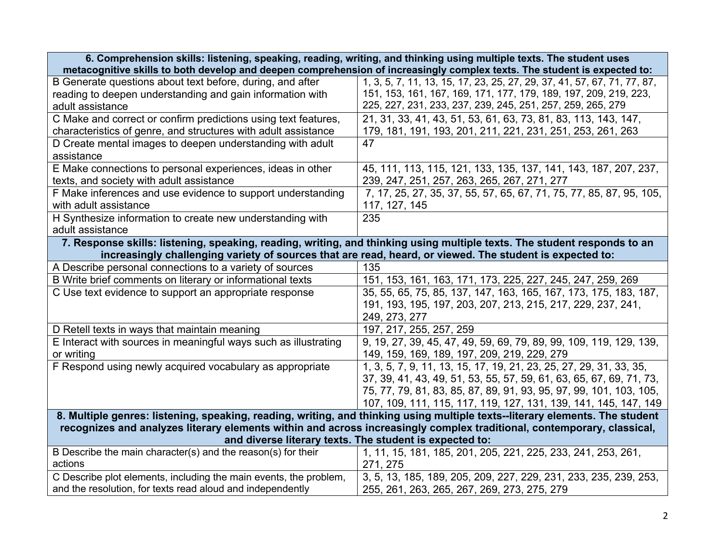| 6. Comprehension skills: listening, speaking, reading, writing, and thinking using multiple texts. The student uses<br>metacognitive skills to both develop and deepen comprehension of increasingly complex texts. The student is expected to: |                                                                                                                                                                                                                                                                                    |  |
|-------------------------------------------------------------------------------------------------------------------------------------------------------------------------------------------------------------------------------------------------|------------------------------------------------------------------------------------------------------------------------------------------------------------------------------------------------------------------------------------------------------------------------------------|--|
| B Generate questions about text before, during, and after<br>reading to deepen understanding and gain information with                                                                                                                          | 1, 3, 5, 7, 11, 13, 15, 17, 23, 25, 27, 29, 37, 41, 57, 67, 71, 77, 87,<br>151, 153, 161, 167, 169, 171, 177, 179, 189, 197, 209, 219, 223,                                                                                                                                        |  |
| adult assistance                                                                                                                                                                                                                                | 225, 227, 231, 233, 237, 239, 245, 251, 257, 259, 265, 279                                                                                                                                                                                                                         |  |
| C Make and correct or confirm predictions using text features,<br>characteristics of genre, and structures with adult assistance                                                                                                                | 21, 31, 33, 41, 43, 51, 53, 61, 63, 73, 81, 83, 113, 143, 147,<br>179, 181, 191, 193, 201, 211, 221, 231, 251, 253, 261, 263                                                                                                                                                       |  |
| D Create mental images to deepen understanding with adult<br>assistance                                                                                                                                                                         | 47                                                                                                                                                                                                                                                                                 |  |
| E Make connections to personal experiences, ideas in other<br>texts, and society with adult assistance                                                                                                                                          | 45, 111, 113, 115, 121, 133, 135, 137, 141, 143, 187, 207, 237,<br>239, 247, 251, 257, 263, 265, 267, 271, 277                                                                                                                                                                     |  |
| F Make inferences and use evidence to support understanding<br>with adult assistance                                                                                                                                                            | 7, 17, 25, 27, 35, 37, 55, 57, 65, 67, 71, 75, 77, 85, 87, 95, 105,<br>117, 127, 145                                                                                                                                                                                               |  |
| H Synthesize information to create new understanding with<br>adult assistance                                                                                                                                                                   | 235                                                                                                                                                                                                                                                                                |  |
| 7. Response skills: listening, speaking, reading, writing, and thinking using multiple texts. The student responds to an<br>increasingly challenging variety of sources that are read, heard, or viewed. The student is expected to:            |                                                                                                                                                                                                                                                                                    |  |
| A Describe personal connections to a variety of sources                                                                                                                                                                                         | 135                                                                                                                                                                                                                                                                                |  |
| B Write brief comments on literary or informational texts                                                                                                                                                                                       | 151, 153, 161, 163, 171, 173, 225, 227, 245, 247, 259, 269                                                                                                                                                                                                                         |  |
| C Use text evidence to support an appropriate response                                                                                                                                                                                          | 35, 55, 65, 75, 85, 137, 147, 163, 165, 167, 173, 175, 183, 187,<br>191, 193, 195, 197, 203, 207, 213, 215, 217, 229, 237, 241,<br>249, 273, 277                                                                                                                                   |  |
| D Retell texts in ways that maintain meaning                                                                                                                                                                                                    | 197, 217, 255, 257, 259                                                                                                                                                                                                                                                            |  |
| E Interact with sources in meaningful ways such as illustrating<br>or writing                                                                                                                                                                   | 9, 19, 27, 39, 45, 47, 49, 59, 69, 79, 89, 99, 109, 119, 129, 139,<br>149, 159, 169, 189, 197, 209, 219, 229, 279                                                                                                                                                                  |  |
| F Respond using newly acquired vocabulary as appropriate                                                                                                                                                                                        | 1, 3, 5, 7, 9, 11, 13, 15, 17, 19, 21, 23, 25, 27, 29, 31, 33, 35,<br>37, 39, 41, 43, 49, 51, 53, 55, 57, 59, 61, 63, 65, 67, 69, 71, 73,<br>75, 77, 79, 81, 83, 85, 87, 89, 91, 93, 95, 97, 99, 101, 103, 105,<br>107, 109, 111, 115, 117, 119, 127, 131, 139, 141, 145, 147, 149 |  |
| 8. Multiple genres: listening, speaking, reading, writing, and thinking using multiple texts--literary elements. The student                                                                                                                    |                                                                                                                                                                                                                                                                                    |  |
|                                                                                                                                                                                                                                                 | recognizes and analyzes literary elements within and across increasingly complex traditional, contemporary, classical,                                                                                                                                                             |  |
|                                                                                                                                                                                                                                                 | and diverse literary texts. The student is expected to:                                                                                                                                                                                                                            |  |
| B Describe the main character(s) and the reason(s) for their<br>actions                                                                                                                                                                         | 1, 11, 15, 181, 185, 201, 205, 221, 225, 233, 241, 253, 261,<br>271, 275                                                                                                                                                                                                           |  |
| C Describe plot elements, including the main events, the problem,                                                                                                                                                                               | 3, 5, 13, 185, 189, 205, 209, 227, 229, 231, 233, 235, 239, 253,                                                                                                                                                                                                                   |  |
| and the resolution, for texts read aloud and independently                                                                                                                                                                                      | 255, 261, 263, 265, 267, 269, 273, 275, 279                                                                                                                                                                                                                                        |  |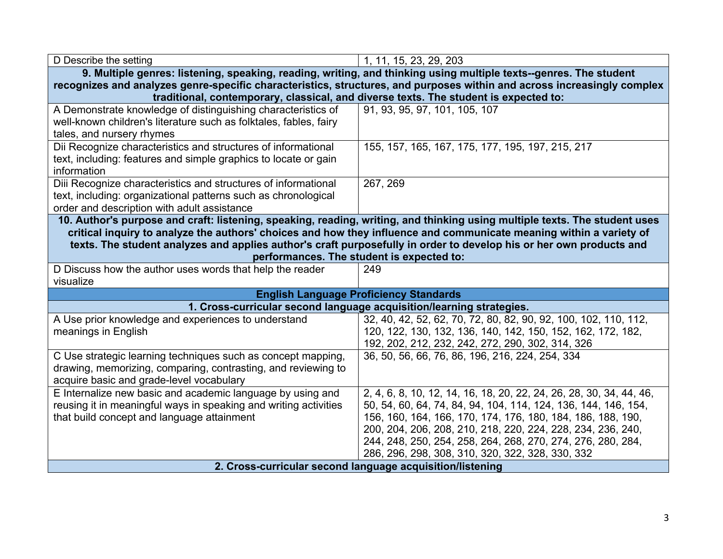| D Describe the setting                                                                                                     | 1, 11, 15, 23, 29, 203                                                                                              |  |
|----------------------------------------------------------------------------------------------------------------------------|---------------------------------------------------------------------------------------------------------------------|--|
|                                                                                                                            | 9. Multiple genres: listening, speaking, reading, writing, and thinking using multiple texts-genres. The student    |  |
| recognizes and analyzes genre-specific characteristics, structures, and purposes within and across increasingly complex    |                                                                                                                     |  |
| traditional, contemporary, classical, and diverse texts. The student is expected to:                                       |                                                                                                                     |  |
| A Demonstrate knowledge of distinguishing characteristics of                                                               | 91, 93, 95, 97, 101, 105, 107                                                                                       |  |
| well-known children's literature such as folktales, fables, fairy                                                          |                                                                                                                     |  |
| tales, and nursery rhymes                                                                                                  |                                                                                                                     |  |
| Dii Recognize characteristics and structures of informational                                                              | 155, 157, 165, 167, 175, 177, 195, 197, 215, 217                                                                    |  |
| text, including: features and simple graphics to locate or gain                                                            |                                                                                                                     |  |
| information                                                                                                                |                                                                                                                     |  |
| Diii Recognize characteristics and structures of informational                                                             | 267, 269                                                                                                            |  |
| text, including: organizational patterns such as chronological                                                             |                                                                                                                     |  |
| order and description with adult assistance                                                                                |                                                                                                                     |  |
| 10. Author's purpose and craft: listening, speaking, reading, writing, and thinking using multiple texts. The student uses |                                                                                                                     |  |
| critical inquiry to analyze the authors' choices and how they influence and communicate meaning within a variety of        |                                                                                                                     |  |
|                                                                                                                            | texts. The student analyzes and applies author's craft purposefully in order to develop his or her own products and |  |
| performances. The student is expected to:                                                                                  |                                                                                                                     |  |
| D Discuss how the author uses words that help the reader                                                                   | 249                                                                                                                 |  |
| visualize                                                                                                                  |                                                                                                                     |  |
|                                                                                                                            | <b>English Language Proficiency Standards</b>                                                                       |  |
|                                                                                                                            | 1. Cross-curricular second language acquisition/learning strategies.                                                |  |
| A Use prior knowledge and experiences to understand                                                                        | 32, 40, 42, 52, 62, 70, 72, 80, 82, 90, 92, 100, 102, 110, 112,                                                     |  |
| meanings in English                                                                                                        | 120, 122, 130, 132, 136, 140, 142, 150, 152, 162, 172, 182,                                                         |  |
|                                                                                                                            | 192, 202, 212, 232, 242, 272, 290, 302, 314, 326                                                                    |  |
| C Use strategic learning techniques such as concept mapping,                                                               | 36, 50, 56, 66, 76, 86, 196, 216, 224, 254, 334                                                                     |  |
| drawing, memorizing, comparing, contrasting, and reviewing to                                                              |                                                                                                                     |  |
| acquire basic and grade-level vocabulary                                                                                   |                                                                                                                     |  |
| E Internalize new basic and academic language by using and                                                                 | 2, 4, 6, 8, 10, 12, 14, 16, 18, 20, 22, 24, 26, 28, 30, 34, 44, 46,                                                 |  |
| reusing it in meaningful ways in speaking and writing activities                                                           | 50, 54, 60, 64, 74, 84, 94, 104, 114, 124, 136, 144, 146, 154,                                                      |  |
| that build concept and language attainment                                                                                 | 156, 160, 164, 166, 170, 174, 176, 180, 184, 186, 188, 190,                                                         |  |
|                                                                                                                            | 200, 204, 206, 208, 210, 218, 220, 224, 228, 234, 236, 240,                                                         |  |
|                                                                                                                            | 244, 248, 250, 254, 258, 264, 268, 270, 274, 276, 280, 284,                                                         |  |
|                                                                                                                            | 286, 296, 298, 308, 310, 320, 322, 328, 330, 332                                                                    |  |
| 2. Cross-curricular second language acquisition/listening                                                                  |                                                                                                                     |  |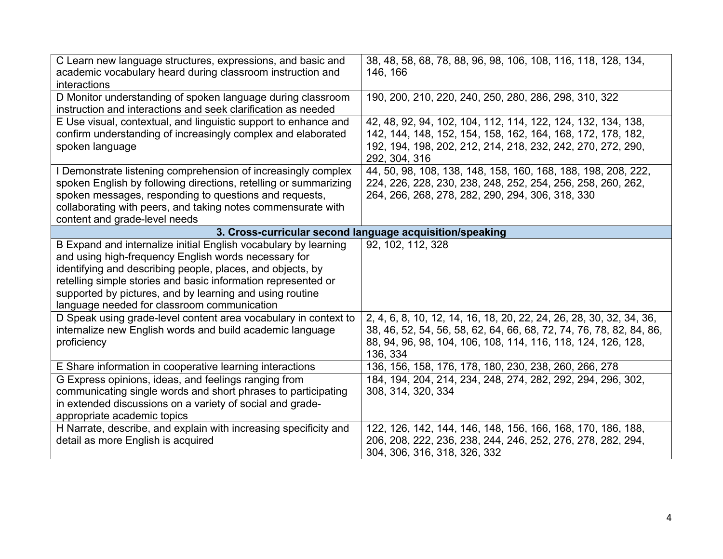| C Learn new language structures, expressions, and basic and<br>academic vocabulary heard during classroom instruction and<br>interactions                                                                                                                                                                                                                         | 38, 48, 58, 68, 78, 88, 96, 98, 106, 108, 116, 118, 128, 134,<br>146, 166                                                                                                                                              |  |
|-------------------------------------------------------------------------------------------------------------------------------------------------------------------------------------------------------------------------------------------------------------------------------------------------------------------------------------------------------------------|------------------------------------------------------------------------------------------------------------------------------------------------------------------------------------------------------------------------|--|
| D Monitor understanding of spoken language during classroom<br>instruction and interactions and seek clarification as needed                                                                                                                                                                                                                                      | 190, 200, 210, 220, 240, 250, 280, 286, 298, 310, 322                                                                                                                                                                  |  |
| E Use visual, contextual, and linguistic support to enhance and<br>confirm understanding of increasingly complex and elaborated<br>spoken language                                                                                                                                                                                                                | 42, 48, 92, 94, 102, 104, 112, 114, 122, 124, 132, 134, 138,<br>142, 144, 148, 152, 154, 158, 162, 164, 168, 172, 178, 182,<br>192, 194, 198, 202, 212, 214, 218, 232, 242, 270, 272, 290,<br>292, 304, 316            |  |
| I Demonstrate listening comprehension of increasingly complex<br>spoken English by following directions, retelling or summarizing<br>spoken messages, responding to questions and requests,<br>collaborating with peers, and taking notes commensurate with<br>content and grade-level needs                                                                      | 44, 50, 98, 108, 138, 148, 158, 160, 168, 188, 198, 208, 222,<br>224, 226, 228, 230, 238, 248, 252, 254, 256, 258, 260, 262,<br>264, 266, 268, 278, 282, 290, 294, 306, 318, 330                                       |  |
| 3. Cross-curricular second language acquisition/speaking                                                                                                                                                                                                                                                                                                          |                                                                                                                                                                                                                        |  |
| B Expand and internalize initial English vocabulary by learning<br>and using high-frequency English words necessary for<br>identifying and describing people, places, and objects, by<br>retelling simple stories and basic information represented or<br>supported by pictures, and by learning and using routine<br>language needed for classroom communication | 92, 102, 112, 328                                                                                                                                                                                                      |  |
| D Speak using grade-level content area vocabulary in context to<br>internalize new English words and build academic language<br>proficiency                                                                                                                                                                                                                       | 2, 4, 6, 8, 10, 12, 14, 16, 18, 20, 22, 24, 26, 28, 30, 32, 34, 36,<br>38, 46, 52, 54, 56, 58, 62, 64, 66, 68, 72, 74, 76, 78, 82, 84, 86,<br>88, 94, 96, 98, 104, 106, 108, 114, 116, 118, 124, 126, 128,<br>136, 334 |  |
| E Share information in cooperative learning interactions                                                                                                                                                                                                                                                                                                          | 136, 156, 158, 176, 178, 180, 230, 238, 260, 266, 278                                                                                                                                                                  |  |
| G Express opinions, ideas, and feelings ranging from<br>communicating single words and short phrases to participating<br>in extended discussions on a variety of social and grade-<br>appropriate academic topics                                                                                                                                                 | 184, 194, 204, 214, 234, 248, 274, 282, 292, 294, 296, 302,<br>308, 314, 320, 334                                                                                                                                      |  |
| H Narrate, describe, and explain with increasing specificity and<br>detail as more English is acquired                                                                                                                                                                                                                                                            | 122, 126, 142, 144, 146, 148, 156, 166, 168, 170, 186, 188,<br>206, 208, 222, 236, 238, 244, 246, 252, 276, 278, 282, 294,<br>304, 306, 316, 318, 326, 332                                                             |  |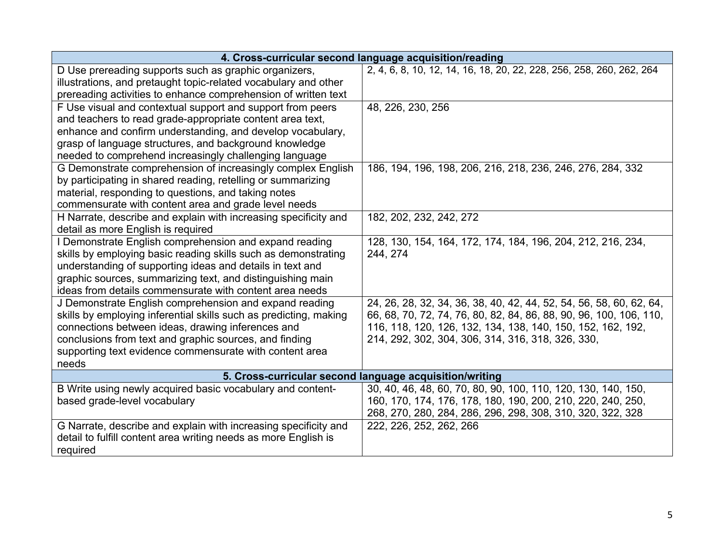| 4. Cross-curricular second language acquisition/reading           |                                                                      |
|-------------------------------------------------------------------|----------------------------------------------------------------------|
| D Use prereading supports such as graphic organizers,             | 2, 4, 6, 8, 10, 12, 14, 16, 18, 20, 22, 228, 256, 258, 260, 262, 264 |
| illustrations, and pretaught topic-related vocabulary and other   |                                                                      |
| prereading activities to enhance comprehension of written text    |                                                                      |
| F Use visual and contextual support and support from peers        | 48, 226, 230, 256                                                    |
| and teachers to read grade-appropriate content area text,         |                                                                      |
| enhance and confirm understanding, and develop vocabulary,        |                                                                      |
| grasp of language structures, and background knowledge            |                                                                      |
| needed to comprehend increasingly challenging language            |                                                                      |
| G Demonstrate comprehension of increasingly complex English       | 186, 194, 196, 198, 206, 216, 218, 236, 246, 276, 284, 332           |
| by participating in shared reading, retelling or summarizing      |                                                                      |
| material, responding to questions, and taking notes               |                                                                      |
| commensurate with content area and grade level needs              |                                                                      |
| H Narrate, describe and explain with increasing specificity and   | 182, 202, 232, 242, 272                                              |
| detail as more English is required                                |                                                                      |
| Demonstrate English comprehension and expand reading              | 128, 130, 154, 164, 172, 174, 184, 196, 204, 212, 216, 234,          |
| skills by employing basic reading skills such as demonstrating    | 244, 274                                                             |
| understanding of supporting ideas and details in text and         |                                                                      |
| graphic sources, summarizing text, and distinguishing main        |                                                                      |
| ideas from details commensurate with content area needs           |                                                                      |
| J Demonstrate English comprehension and expand reading            | 24, 26, 28, 32, 34, 36, 38, 40, 42, 44, 52, 54, 56, 58, 60, 62, 64,  |
| skills by employing inferential skills such as predicting, making | 66, 68, 70, 72, 74, 76, 80, 82, 84, 86, 88, 90, 96, 100, 106, 110,   |
| connections between ideas, drawing inferences and                 | 116, 118, 120, 126, 132, 134, 138, 140, 150, 152, 162, 192,          |
| conclusions from text and graphic sources, and finding            | 214, 292, 302, 304, 306, 314, 316, 318, 326, 330,                    |
| supporting text evidence commensurate with content area           |                                                                      |
| needs                                                             |                                                                      |
| 5. Cross-curricular second language acquisition/writing           |                                                                      |
| B Write using newly acquired basic vocabulary and content-        | 30, 40, 46, 48, 60, 70, 80, 90, 100, 110, 120, 130, 140, 150,        |
| based grade-level vocabulary                                      | 160, 170, 174, 176, 178, 180, 190, 200, 210, 220, 240, 250,          |
|                                                                   | 268, 270, 280, 284, 286, 296, 298, 308, 310, 320, 322, 328           |
| G Narrate, describe and explain with increasing specificity and   | 222, 226, 252, 262, 266                                              |
| detail to fulfill content area writing needs as more English is   |                                                                      |
| required                                                          |                                                                      |